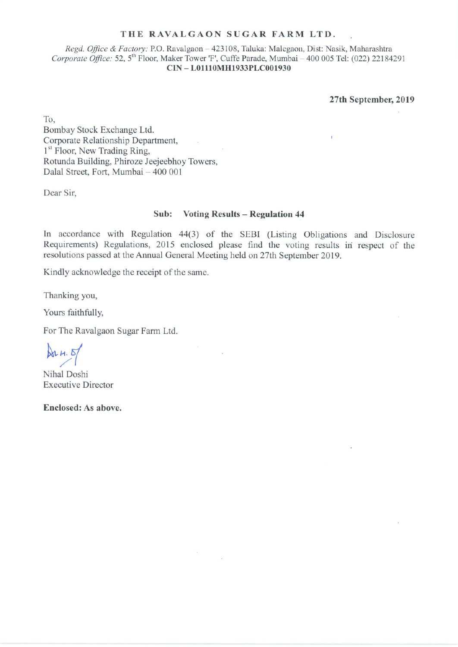#### THE RAVALGAON SUGAR FARM LTD.

Regd. Office & Factory: P.O. Ravalgaon - 423108, Taluka: Malegaon, Dist: Nasik, Maharashtra Corporate Office: 52, 5<sup>th</sup> Floor, Maker Tower 'F', Cuffe Parade, Mumbai - 400 005 Tel: (022) 22184291 CIN-L01110MH1933PLC001930

27th September, 2019

To, Bombay Stock Exchange Ltd. Corporate Relationship Department, 1<sup>st</sup> Floor, New Trading Ring, Rotunda Building, Phiroze Jeejeebhoy Towers, Dalal Street, Fort, Mumbai - 400 001

Dear Sir,

#### Sub: **Voting Results - Regulation 44**

In accordance with Regulation 44(3) of the SEBI (Listing Obligations and Disclosure Requirements) Regulations, 2015 enclosed please find the voting results in respect of the resolutions passed at the Annual General Meeting held on 27th September 2019.

Kindly acknowledge the receipt of the same.

Thanking you,

Yours faithfully,

For The Ravalgaon Sugar Farm Ltd.

 $ArH.5$ 

Nihal Doshi **Executive Director** 

Enclosed: As above.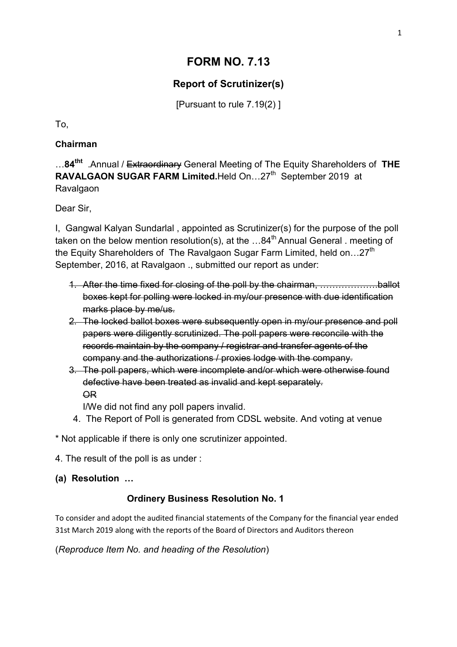# **FORM NO. 7.13**

# **Report of Scrutinizer(s)**

[Pursuant to rule 7.19(2) ]

To,

# **Chairman**

…**84tht** .Annual / Extraordinary General Meeting of The Equity Shareholders of **THE RAVALGAON SUGAR FARM Limited.**Held On...27<sup>th</sup> September 2019 at Ravalgaon

Dear Sir,

I, Gangwal Kalyan Sundarlal , appointed as Scrutinizer(s) for the purpose of the poll taken on the below mention resolution(s), at the  $...84<sup>th</sup>$  Annual General . meeting of the Equity Shareholders of The Ravalgaon Sugar Farm Limited, held on... $27<sup>th</sup>$ September, 2016, at Ravalgaon .. submitted our report as under:

- 1. After the time fixed for closing of the poll by the chairman, ……………….ballot boxes kept for polling were locked in my/our presence with due identification marks place by me/us.
- 2. The locked ballot boxes were subsequently open in my/our presence and poll papers were diligently scrutinized. The poll papers were reconcile with the records maintain by the company / registrar and transfer agents of the company and the authorizations / proxies lodge with the company.
- 3. The poll papers, which were incomplete and/or which were otherwise found defective have been treated as invalid and kept separately. OR

I/We did not find any poll papers invalid.

4. The Report of Poll is generated from CDSL website. And voting at venue

\* Not applicable if there is only one scrutinizer appointed.

4. The result of the poll is as under :

**(a) Resolution …**

# **Ordinery Business Resolution No. 1**

To consider and adopt the audited financial statements of the Company for the financial year ended 31st March 2019 along with the reports of the Board of Directors and Auditors thereon

(*Reproduce Item No. and heading of the Resolution*)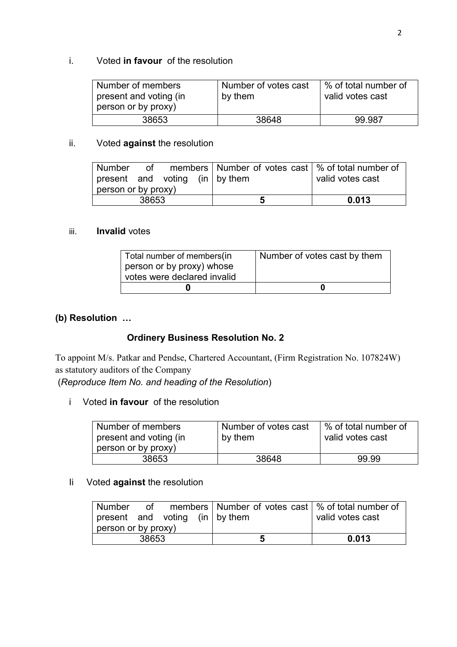# i. Voted **in favour** of the resolution

| Number of members<br>present and voting (in<br>person or by proxy) | Number of votes cast<br>by them | % of total number of<br>valid votes cast |
|--------------------------------------------------------------------|---------------------------------|------------------------------------------|
| 38653                                                              | 38648                           | 99.987                                   |

# ii. Voted **against** the resolution

| Number                                 |  |  |   |       | of members   Number of votes cast   % of total number of |
|----------------------------------------|--|--|---|-------|----------------------------------------------------------|
| $ $ present and voting (in $ $ by them |  |  |   |       | valid votes cast                                         |
| person or by proxy)                    |  |  |   |       |                                                          |
| 38653                                  |  |  | ວ | 0.013 |                                                          |

#### iii. **Invalid** votes

| Total number of members (in | Number of votes cast by them |
|-----------------------------|------------------------------|
| person or by proxy) whose   |                              |
| votes were declared invalid |                              |
|                             |                              |

# **(b) Resolution …**

# **Ordinery Business Resolution No. 2**

To appoint M/s. Patkar and Pendse, Chartered Accountant, (Firm Registration No. 107824W) as statutory auditors of the Company

(*Reproduce Item No. and heading of the Resolution*)

i Voted **in favour** of the resolution

| Number of members<br>present and voting (in | Number of votes cast<br>by them | % of total number of<br>valid votes cast |
|---------------------------------------------|---------------------------------|------------------------------------------|
| person or by proxy)                         |                                 |                                          |
| 38653                                       | 38648                           | 99.99                                    |

## Ii Voted **against** the resolution

| Number                                 |  |  | of members   Number of votes cast   % of total number of |                  |
|----------------------------------------|--|--|----------------------------------------------------------|------------------|
| $ $ present and voting (in $ $ by them |  |  |                                                          | valid votes cast |
| person or by proxy)                    |  |  |                                                          |                  |
| 38653                                  |  |  | a                                                        | 0.013            |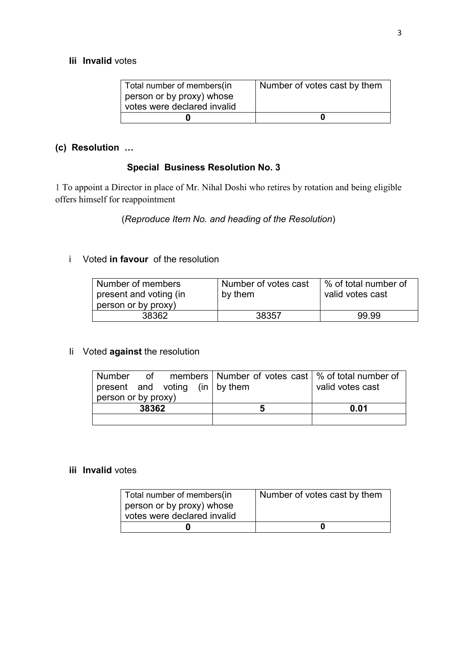#### **Iii Invalid** votes

| Total number of members (in | Number of votes cast by them |
|-----------------------------|------------------------------|
| person or by proxy) whose   |                              |
| votes were declared invalid |                              |
|                             |                              |

# **(c) Resolution …**

# **Special Business Resolution No. 3**

1 To appoint a Director in place of Mr. Nihal Doshi who retires by rotation and being eligible offers himself for reappointment

(*Reproduce Item No. and heading of the Resolution*)

# i Voted **in favour** of the resolution

| Number of members                             | Number of votes cast | ∣% of total number of |
|-----------------------------------------------|----------------------|-----------------------|
| present and voting (in<br>person or by proxy) | by them              | valid votes cast      |
| 38362                                         | 38357                | 99.99                 |

## Ii Voted **against** the resolution

|                                                |  |   |      | Number of members   Number of votes cast   % of total number of |                  |
|------------------------------------------------|--|---|------|-----------------------------------------------------------------|------------------|
| $\vert$ present and voting (in $\vert$ by them |  |   |      |                                                                 | valid votes cast |
| person or by proxy)                            |  |   |      |                                                                 |                  |
| 38362                                          |  | b | 0.01 |                                                                 |                  |
|                                                |  |   |      |                                                                 |                  |

## **iii Invalid** votes

| Total number of members(in  | Number of votes cast by them |
|-----------------------------|------------------------------|
| person or by proxy) whose   |                              |
| votes were declared invalid |                              |
| U                           |                              |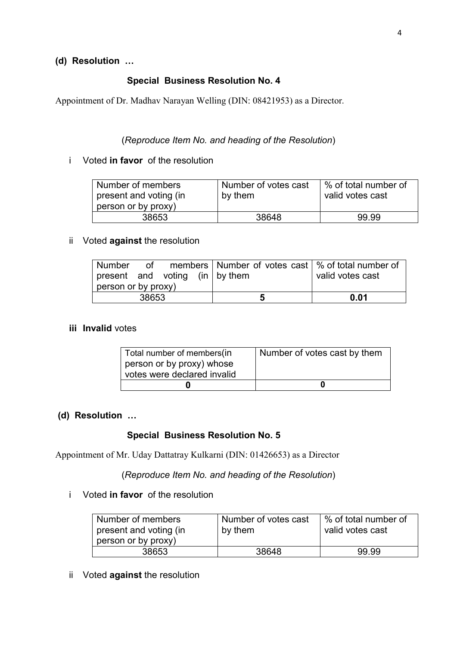## **(d) Resolution …**

## **Special Business Resolution No. 4**

Appointment of Dr. Madhav Narayan Welling (DIN: 08421953) as a Director.

#### (*Reproduce Item No. and heading of the Resolution*)

#### i Voted **in favor** of the resolution

| Number of members<br>present and voting (in | Number of votes cast<br>by them | ∣% of total number of<br>valid votes cast |
|---------------------------------------------|---------------------------------|-------------------------------------------|
| person or by proxy)                         |                                 |                                           |
| 38653                                       | 38648                           | 99.99                                     |

#### ii Voted **against** the resolution

| Number                         |  |  |   |      | of members   Number of votes cast   % of total number of |
|--------------------------------|--|--|---|------|----------------------------------------------------------|
| present and voting (in by them |  |  |   |      | valid votes cast                                         |
| person or by proxy)            |  |  |   |      |                                                          |
| 38653                          |  |  | a | 0.01 |                                                          |

#### **iii Invalid** votes

| Total number of members (in | Number of votes cast by them |
|-----------------------------|------------------------------|
| person or by proxy) whose   |                              |
| votes were declared invalid |                              |
|                             |                              |

#### **(d) Resolution …**

#### **Special Business Resolution No. 5**

Appointment of Mr. Uday Dattatray Kulkarni (DIN: 01426653) as a Director

(*Reproduce Item No. and heading of the Resolution*)

i Voted **in favor** of the resolution

| Number of members                             | Number of votes cast | % of total number of<br>valid votes cast |
|-----------------------------------------------|----------------------|------------------------------------------|
| present and voting (in<br>person or by proxy) | by them              |                                          |
| 38653                                         | 38648                | 99.99                                    |

ii Voted **against** the resolution